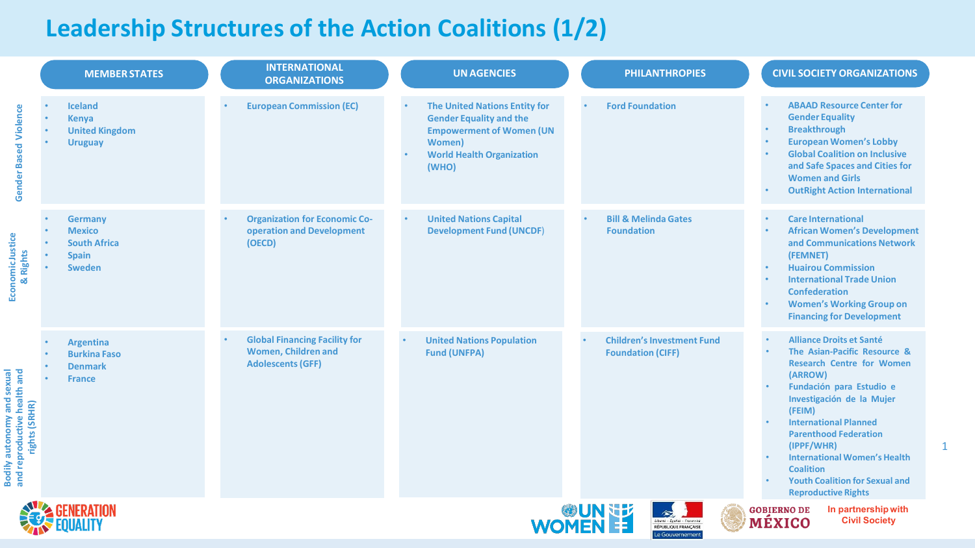## **Leadership Structures of the Action Coalitions (1/2)**

|                                                                                     |                        | <b>MEMBER STATES</b>                                                                    | <b>INTERNATIONAL</b><br><b>ORGANIZATIONS</b>                                                   |           | <b>UN AGENCIES</b>                                                                                                                                                       | <b>PHILANTHROPIES</b>                                         | <b>CIVIL SOCIETY ORGANIZATIONS</b>                                                                                                                                                                                                                                                                                                                                                                |
|-------------------------------------------------------------------------------------|------------------------|-----------------------------------------------------------------------------------------|------------------------------------------------------------------------------------------------|-----------|--------------------------------------------------------------------------------------------------------------------------------------------------------------------------|---------------------------------------------------------------|---------------------------------------------------------------------------------------------------------------------------------------------------------------------------------------------------------------------------------------------------------------------------------------------------------------------------------------------------------------------------------------------------|
| Violence<br><b>Gender Based</b>                                                     | $\bullet$<br>$\bullet$ | <b>Iceland</b><br><b>Kenya</b><br><b>United Kingdom</b><br><b>Uruguay</b>               | <b>European Commission (EC)</b>                                                                |           | <b>The United Nations Entity for</b><br><b>Gender Equality and the</b><br><b>Empowerment of Women (UN</b><br><b>Women</b> )<br><b>World Health Organization</b><br>(WHO) | <b>Ford Foundation</b>                                        | <b>ABAAD Resource Center for</b><br><b>Gender Equality</b><br><b>Breakthrough</b><br><b>European Women's Lobby</b><br><b>Global Coalition on Inclusive</b><br>and Safe Spaces and Cities for<br><b>Women and Girls</b><br><b>OutRight Action International</b>                                                                                                                                    |
| Economic Justice<br>& Rights                                                        |                        | <b>Germany</b><br><b>Mexico</b><br><b>South Africa</b><br><b>Spain</b><br><b>Sweden</b> | <b>Organization for Economic Co-</b><br>operation and Development<br>(OECD)                    | $\bullet$ | <b>United Nations Capital</b><br><b>Development Fund (UNCDF)</b>                                                                                                         | <b>Bill &amp; Melinda Gates</b><br><b>Foundation</b>          | <b>Care International</b><br><b>African Women's Development</b><br>and Communications Network<br>(FEMNET)<br><b>Huairou Commission</b><br><b>International Trade Union</b><br><b>Confederation</b><br><b>Women's Working Group on</b><br><b>Financing for Development</b>                                                                                                                         |
| <b>Bodily autonomy and sexual<br/>and reproductive health and<br/>rights (SRHR)</b> |                        | <b>Argentina</b><br><b>Burkina Faso</b><br><b>Denmark</b><br><b>France</b>              | <b>Global Financing Facility for</b><br><b>Women, Children and</b><br><b>Adolescents (GFF)</b> | $\bullet$ | <b>United Nations Population</b><br><b>Fund (UNFPA)</b>                                                                                                                  | <b>Children's Investment Fund</b><br><b>Foundation (CIFF)</b> | <b>Alliance Droits et Santé</b><br>The Asian-Pacific Resource &<br><b>Research Centre for Women</b><br>(ARROW)<br>Fundación para Estudio e<br>Investigación de la Mujer<br>(FEIM)<br><b>International Planned</b><br><b>Parenthood Federation</b><br>(IPPF/WHR)<br><b>International Women's Health</b><br><b>Coalition</b><br><b>Youth Coalition for Sexual and</b><br><b>Reproductive Rights</b> |
|                                                                                     |                        |                                                                                         |                                                                                                |           | WOMEN ES                                                                                                                                                                 | Liberté - Égalité - Fraternité<br>RÉPUBLIQUE FRANÇAISE        | In partnership with<br><b>GOBIERNO DE</b><br>MÉXICO<br><b>Civil Society</b>                                                                                                                                                                                                                                                                                                                       |

1